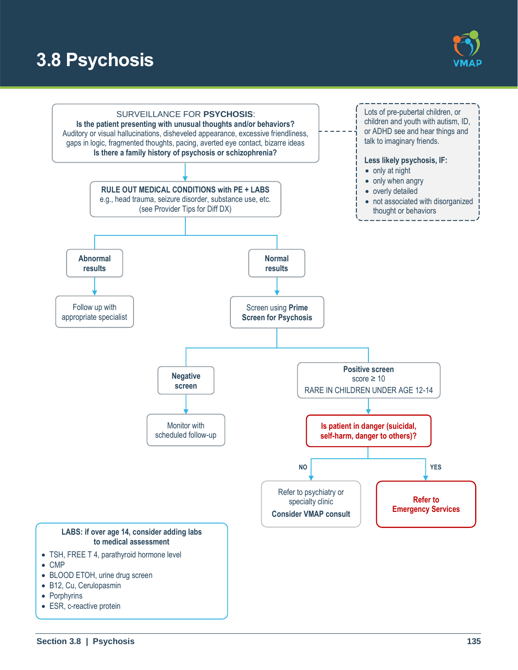# **3.8 Psychosis**



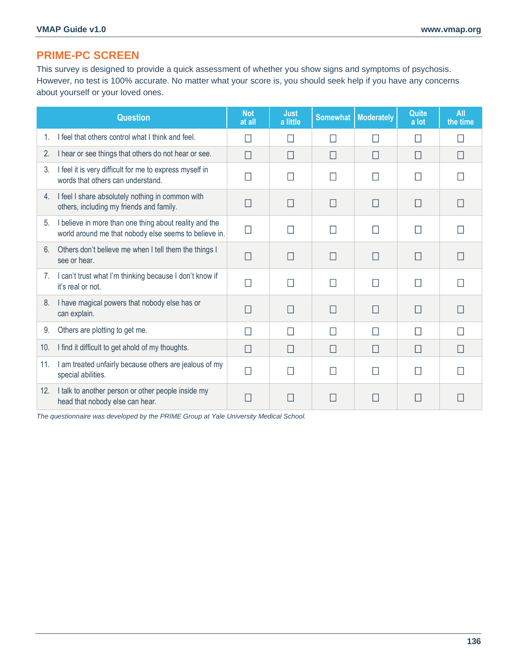## **PRIME-PC SCREEN**

This survey is designed to provide a quick assessment of whether you show signs and symptoms of psychosis. However, no test is 100% accurate. No matter what your score is, you should seek help if you have any concerns about yourself or your loved ones.

|                | <b>Question</b>                                                                                                 | <b>Not</b><br>at all | <b>Just</b><br>a little | <b>Somewhat</b>   | <b>Moderately</b> | Quite<br>a lot | <b>All</b><br>the time |
|----------------|-----------------------------------------------------------------------------------------------------------------|----------------------|-------------------------|-------------------|-------------------|----------------|------------------------|
| 1.             | I feel that others control what I think and feel.                                                               | $\blacksquare$       |                         |                   | $\mathsf{L}$      | П              |                        |
| 2.             | I hear or see things that others do not hear or see.                                                            | П                    | П                       | П                 | $\vert \ \vert$   | П              |                        |
| 3.             | I feel it is very difficult for me to express myself in<br>words that others can understand.                    |                      |                         |                   |                   |                |                        |
| 4.             | I feel I share absolutely nothing in common with<br>others, including my friends and family.                    | H                    | H                       | $\vert \ \ \vert$ | $\Box$            | $\Box$         |                        |
| 5 <sub>1</sub> | I believe in more than one thing about reality and the<br>world around me that nobody else seems to believe in. | $\mathsf{I}$         |                         | П                 | $\mathsf{L}$      | П              |                        |
| 6.             | Others don't believe me when I tell them the things I<br>see or hear.                                           | П                    | П                       | П                 | П                 |                |                        |
| 7.             | I can't trust what I'm thinking because I don't know if<br>it's real or not.                                    | . I                  |                         |                   |                   | $\mathsf{L}$   |                        |
| 8.             | I have magical powers that nobody else has or<br>can explain.                                                   | П                    | П                       | П                 | П                 | Ш              |                        |
| 9.             | Others are plotting to get me.                                                                                  |                      |                         |                   | $\Box$            | $\mathbf{L}$   |                        |
| 10.            | I find it difficult to get ahold of my thoughts.                                                                | П                    | П                       | П                 | П                 | П              |                        |
| 11.            | I am treated unfairly because others are jealous of my<br>special abilities.                                    | П                    |                         |                   |                   |                |                        |
| 12.            | I talk to another person or other people inside my<br>head that nobody else can hear.                           |                      |                         |                   |                   |                |                        |

*The questionnaire was developed by the PRIME Group at Yale University Medical School.*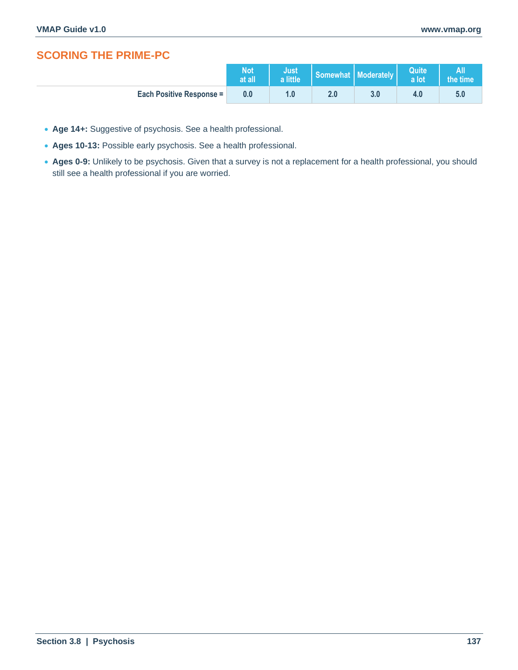# **SCORING THE PRIME-PC**

|                                 | <b>Not</b><br>at all | Just <sub>/</sub><br>a little |     | Somewhat   Moderately | Quite<br>a lot | the time |
|---------------------------------|----------------------|-------------------------------|-----|-----------------------|----------------|----------|
| <b>Each Positive Response =</b> | 0.0                  | 1.0                           | 2.0 | 3.0                   |                |          |

- **Age 14+:** Suggestive of psychosis. See a health professional.
- **Ages 10-13:** Possible early psychosis. See a health professional.
- **Ages 0-9:** Unlikely to be psychosis. Given that a survey is not a replacement for a health professional, you should still see a health professional if you are worried.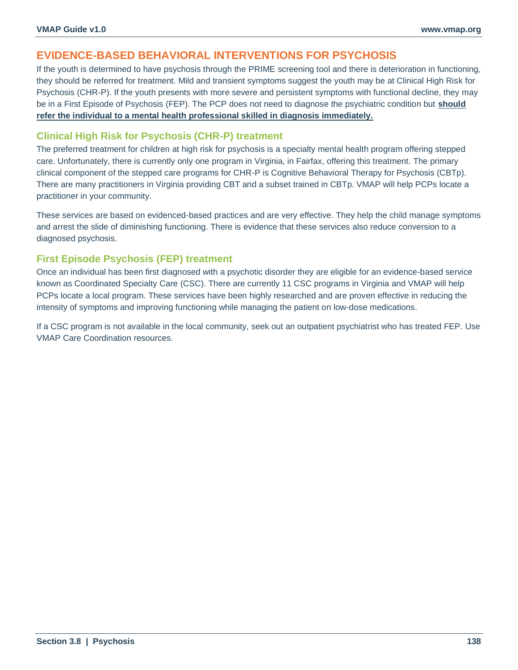## **EVIDENCE-BASED BEHAVIORAL INTERVENTIONS FOR PSYCHOSIS**

If the youth is determined to have psychosis through the PRIME screening tool and there is deterioration in functioning, they should be referred for treatment. Mild and transient symptoms suggest the youth may be at Clinical High Risk for Psychosis (CHR-P). If the youth presents with more severe and persistent symptoms with functional decline, they may be in a First Episode of Psychosis (FEP). The PCP does not need to diagnose the psychiatric condition but **should refer the individual to a mental health professional skilled in diagnosis immediately.**

#### **Clinical High Risk for Psychosis (CHR-P) treatment**

The preferred treatment for children at high risk for psychosis is a specialty mental health program offering stepped care. Unfortunately, there is currently only one program in Virginia, in Fairfax, offering this treatment. The primary clinical component of the stepped care programs for CHR-P is Cognitive Behavioral Therapy for Psychosis (CBTp). There are many practitioners in Virginia providing CBT and a subset trained in CBTp. VMAP will help PCPs locate a practitioner in your community.

These services are based on evidenced-based practices and are very effective. They help the child manage symptoms and arrest the slide of diminishing functioning. There is evidence that these services also reduce conversion to a diagnosed psychosis.

## **First Episode Psychosis (FEP) treatment**

Once an individual has been first diagnosed with a psychotic disorder they are eligible for an evidence-based service known as Coordinated Specialty Care (CSC). There are currently 11 CSC programs in Virginia and VMAP will help PCPs locate a local program. These services have been highly researched and are proven effective in reducing the intensity of symptoms and improving functioning while managing the patient on low-dose medications.

If a CSC program is not available in the local community, seek out an outpatient psychiatrist who has treated FEP. Use VMAP Care Coordination resources.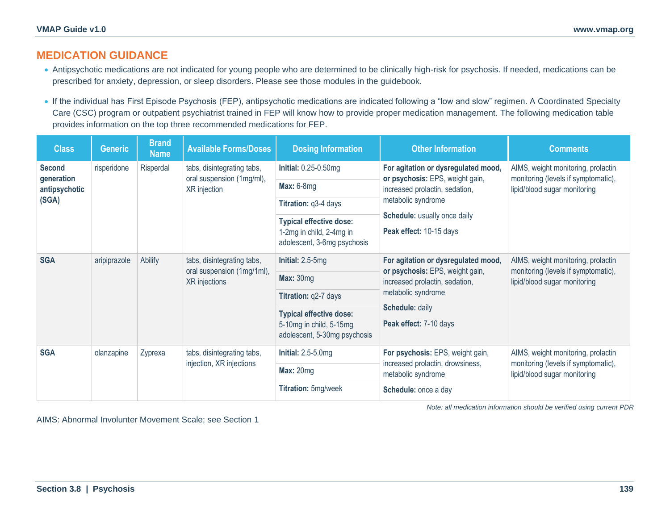## **MEDICATION GUIDANCE**

- Antipsychotic medications are not indicated for young people who are determined to be clinically high-risk for psychosis. If needed, medications can be prescribed for anxiety, depression, or sleep disorders. Please see those modules in the guidebook.
- If the individual has First Episode Psychosis (FEP), antipsychotic medications are indicated following a "low and slow" regimen. A Coordinated Specialty Care (CSC) program or outpatient psychiatrist trained in FEP will know how to provide proper medication management. The following medication table provides information on the top three recommended medications for FEP.

| Class                       | <b>Generic</b> | <b>Brand</b><br><b>Name</b> | <b>Available Forms/Doses</b>                                              | <b>Dosing Information</b>                               | <b>Other Information</b>                                          | <b>Comments</b>                                                                                           |  |
|-----------------------------|----------------|-----------------------------|---------------------------------------------------------------------------|---------------------------------------------------------|-------------------------------------------------------------------|-----------------------------------------------------------------------------------------------------------|--|
| <b>Second</b>               | risperidone    | Risperdal                   | tabs, disintegrating tabs,<br>oral suspension (1mg/ml),<br>XR injection   | <b>Initial: 0.25-0.50mg</b>                             | For agitation or dysregulated mood,                               | AIMS, weight monitoring, prolactin<br>monitoring (levels if symptomatic),<br>lipid/blood sugar monitoring |  |
| generation<br>antipsychotic |                |                             |                                                                           | <b>Max: 6-8mg</b>                                       | or psychosis: EPS, weight gain,<br>increased prolactin, sedation, |                                                                                                           |  |
| (SGA)                       |                |                             |                                                                           | Titration: q3-4 days                                    | metabolic syndrome                                                |                                                                                                           |  |
|                             |                |                             |                                                                           | <b>Typical effective dose:</b>                          | Schedule: usually once daily                                      |                                                                                                           |  |
|                             |                |                             |                                                                           | 1-2mg in child, 2-4mg in<br>adolescent, 3-6mg psychosis | Peak effect: 10-15 days                                           |                                                                                                           |  |
| <b>SGA</b>                  | aripiprazole   | Abilify                     | tabs, disintegrating tabs,<br>oral suspension (1mg/1ml),<br>XR injections | Initial: $2.5-5mg$                                      | For agitation or dysregulated mood,                               | AIMS, weight monitoring, prolactin<br>monitoring (levels if symptomatic),<br>lipid/blood sugar monitoring |  |
|                             |                |                             |                                                                           | Max: 30mg                                               | or psychosis: EPS, weight gain,<br>increased prolactin, sedation, |                                                                                                           |  |
|                             |                |                             |                                                                           | Titration: q2-7 days                                    | metabolic syndrome                                                |                                                                                                           |  |
|                             |                |                             |                                                                           | <b>Typical effective dose:</b>                          | Schedule: daily                                                   |                                                                                                           |  |
|                             |                |                             |                                                                           | 5-10mg in child, 5-15mg<br>adolescent, 5-30mg psychosis | Peak effect: 7-10 days                                            |                                                                                                           |  |
| <b>SGA</b>                  | olanzapine     | Zyprexa                     | tabs, disintegrating tabs,<br>injection, XR injections                    | Initial: $2.5-5.0mg$                                    | For psychosis: EPS, weight gain,                                  | AIMS, weight monitoring, prolactin<br>monitoring (levels if symptomatic),<br>lipid/blood sugar monitoring |  |
|                             |                |                             |                                                                           | <b>Max: 20mg</b>                                        | increased prolactin, drowsiness,<br>metabolic syndrome            |                                                                                                           |  |
|                             |                |                             |                                                                           | Titration: 5mg/week                                     | Schedule: once a day                                              |                                                                                                           |  |

*Note: all medication information should be verified using current PDR*

AIMS: Abnormal Involunter Movement Scale; see Section 1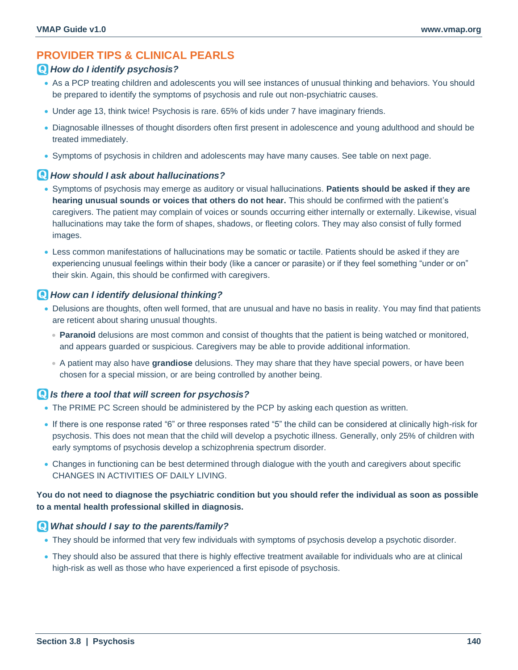## **PROVIDER TIPS & CLINICAL PEARLS**

#### *How do I identify psychosis?*

- As a PCP treating children and adolescents you will see instances of unusual thinking and behaviors. You should be prepared to identify the symptoms of psychosis and rule out non-psychiatric causes.
- Under age 13, think twice! Psychosis is rare. 65% of kids under 7 have imaginary friends.
- Diagnosable illnesses of thought disorders often first present in adolescence and young adulthood and should be treated immediately.
- Symptoms of psychosis in children and adolescents may have many causes. See table on next page.

#### *How should I ask about hallucinations?*

- Symptoms of psychosis may emerge as auditory or visual hallucinations. **Patients should be asked if they are hearing unusual sounds or voices that others do not hear.** This should be confirmed with the patient's caregivers. The patient may complain of voices or sounds occurring either internally or externally. Likewise, visual hallucinations may take the form of shapes, shadows, or fleeting colors. They may also consist of fully formed images.
- Less common manifestations of hallucinations may be somatic or tactile. Patients should be asked if they are experiencing unusual feelings within their body (like a cancer or parasite) or if they feel something "under or on" their skin. Again, this should be confirmed with caregivers.

#### *How can I identify delusional thinking?*

- Delusions are thoughts, often well formed, that are unusual and have no basis in reality. You may find that patients are reticent about sharing unusual thoughts.
	- **Paranoid** delusions are most common and consist of thoughts that the patient is being watched or monitored, and appears guarded or suspicious. Caregivers may be able to provide additional information.
	- A patient may also have **grandiose** delusions. They may share that they have special powers, or have been chosen for a special mission, or are being controlled by another being.

#### *Is there a tool that will screen for psychosis?*

- The PRIME PC Screen should be administered by the PCP by asking each question as written.
- If there is one response rated "6" or three responses rated "5" the child can be considered at clinically high-risk for psychosis. This does not mean that the child will develop a psychotic illness. Generally, only 25% of children with early symptoms of psychosis develop a schizophrenia spectrum disorder.
- Changes in functioning can be best determined through dialogue with the youth and caregivers about specific CHANGES IN ACTIVITIES OF DAILY LIVING.

#### **You do not need to diagnose the psychiatric condition but you should refer the individual as soon as possible to a mental health professional skilled in diagnosis.**

#### *What should I say to the parents/family?*

- They should be informed that very few individuals with symptoms of psychosis develop a psychotic disorder.
- They should also be assured that there is highly effective treatment available for individuals who are at clinical high-risk as well as those who have experienced a first episode of psychosis.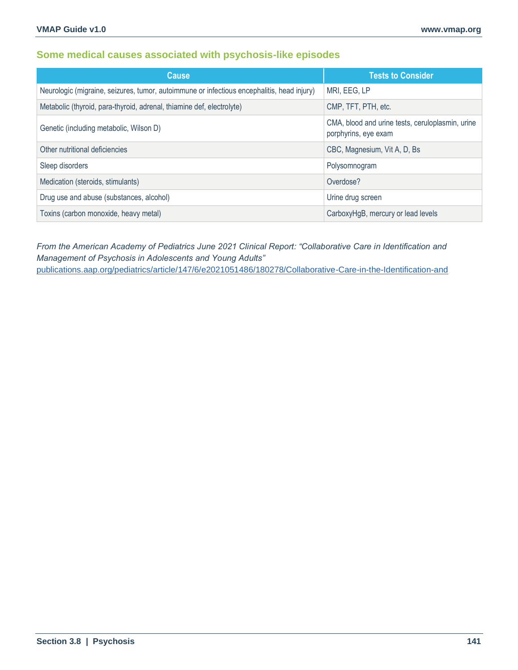## **Some medical causes associated with psychosis-like episodes**

| <b>Cause</b>                                                                               | <b>Tests to Consider</b>                                                 |
|--------------------------------------------------------------------------------------------|--------------------------------------------------------------------------|
| Neurologic (migraine, seizures, tumor, autoimmune or infectious encephalitis, head injury) | MRI, EEG, LP                                                             |
| Metabolic (thyroid, para-thyroid, adrenal, thiamine def, electrolyte)                      | CMP, TFT, PTH, etc.                                                      |
| Genetic (including metabolic, Wilson D)                                                    | CMA, blood and urine tests, ceruloplasmin, urine<br>porphyrins, eye exam |
| Other nutritional deficiencies                                                             | CBC, Magnesium, Vit A, D, Bs                                             |
| Sleep disorders                                                                            | Polysomnogram                                                            |
| Medication (steroids, stimulants)                                                          | Overdose?                                                                |
| Drug use and abuse (substances, alcohol)                                                   | Urine drug screen                                                        |
| Toxins (carbon monoxide, heavy metal)                                                      | CarboxyHgB, mercury or lead levels                                       |

*From the American Academy of Pediatrics June 2021 Clinical Report: "Collaborative Care in Identification and Management of Psychosis in Adolescents and Young Adults"*  [publications.aap.org/pediatrics/article/147/6/e2021051486/180278/Collaborative-Care-in-the-Identification-and](https://publications.aap.org/pediatrics/article/147/6/e2021051486/180278/Collaborative-Care-in-the-Identification-and)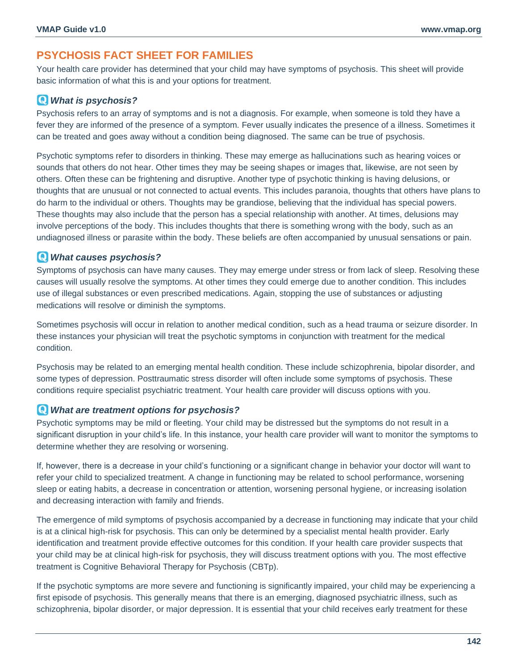## **PSYCHOSIS FACT SHEET FOR FAMILIES**

Your health care provider has determined that your child may have symptoms of psychosis. This sheet will provide basic information of what this is and your options for treatment.

## *What is psychosis?*

Psychosis refers to an array of symptoms and is not a diagnosis. For example, when someone is told they have a fever they are informed of the presence of a symptom. Fever usually indicates the presence of a illness. Sometimes it can be treated and goes away without a condition being diagnosed. The same can be true of psychosis.

Psychotic symptoms refer to disorders in thinking. These may emerge as hallucinations such as hearing voices or sounds that others do not hear. Other times they may be seeing shapes or images that, likewise, are not seen by others. Often these can be frightening and disruptive. Another type of psychotic thinking is having delusions, or thoughts that are unusual or not connected to actual events. This includes paranoia, thoughts that others have plans to do harm to the individual or others. Thoughts may be grandiose, believing that the individual has special powers. These thoughts may also include that the person has a special relationship with another. At times, delusions may involve perceptions of the body. This includes thoughts that there is something wrong with the body, such as an undiagnosed illness or parasite within the body. These beliefs are often accompanied by unusual sensations or pain.

#### *What causes psychosis?*

Symptoms of psychosis can have many causes. They may emerge under stress or from lack of sleep. Resolving these causes will usually resolve the symptoms. At other times they could emerge due to another condition. This includes use of illegal substances or even prescribed medications. Again, stopping the use of substances or adjusting medications will resolve or diminish the symptoms.

Sometimes psychosis will occur in relation to another medical condition, such as a head trauma or seizure disorder. In these instances your physician will treat the psychotic symptoms in conjunction with treatment for the medical condition.

Psychosis may be related to an emerging mental health condition. These include schizophrenia, bipolar disorder, and some types of depression. Posttraumatic stress disorder will often include some symptoms of psychosis. These conditions require specialist psychiatric treatment. Your health care provider will discuss options with you.

## *What are treatment options for psychosis?*

Psychotic symptoms may be mild or fleeting. Your child may be distressed but the symptoms do not result in a significant disruption in your child's life. In this instance, your health care provider will want to monitor the symptoms to determine whether they are resolving or worsening.

If, however, there is a decrease in your child's functioning or a significant change in behavior your doctor will want to refer your child to specialized treatment. A change in functioning may be related to school performance, worsening sleep or eating habits, a decrease in concentration or attention, worsening personal hygiene, or increasing isolation and decreasing interaction with family and friends.

The emergence of mild symptoms of psychosis accompanied by a decrease in functioning may indicate that your child is at a clinical high-risk for psychosis. This can only be determined by a specialist mental health provider. Early identification and treatment provide effective outcomes for this condition. If your health care provider suspects that your child may be at clinical high-risk for psychosis, they will discuss treatment options with you. The most effective treatment is Cognitive Behavioral Therapy for Psychosis (CBTp).

If the psychotic symptoms are more severe and functioning is significantly impaired, your child may be experiencing a first episode of psychosis. This generally means that there is an emerging, diagnosed psychiatric illness, such as schizophrenia, bipolar disorder, or major depression. It is essential that your child receives early treatment for these